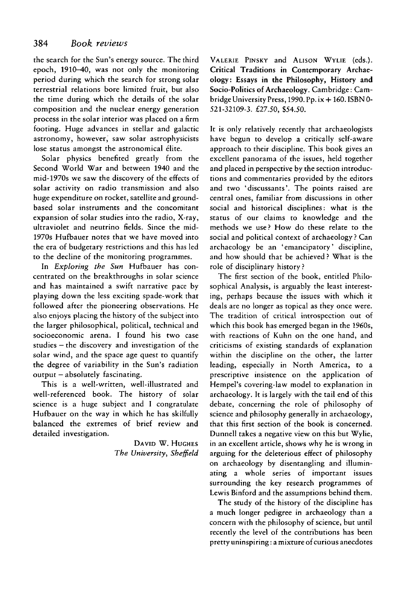the search for the Sun's energy source. The third epoch, 1910—40, was not only the monitoring period during which the search for strong solar terrestrial relations bore limited fruit, but also the time during which the details of the solar composition and the nuclear energy generation process in the solar interior was placed on a firm footing. Huge advances in stellar and galactic astronomy, however, saw solar astrophysicists lose status amongst the astronomical élite.

Solar physics benefited greatly from the Second World War and between 1940 and the mid-1970s we saw the discovery of the effects of solar activity on radio transmission and also huge expenditure on rocket, satellite and groundbased solar instruments and the concomitant expansion of solar studies into the radio, X-ray, ultraviolet and neutrino fields. Since the mid-1970s Hufbauer notes that we have moved into the era of budgetary restrictions and this has led to the decline of the monitoring programmes.

In *Exploring the Sun* Hufbauer has concentrated on the breakthroughs in solar science and has maintained a swift narrative pace by playing down the less exciting spade-work that followed after the pioneering observations. He also enjoys placing the history of the subject into the larger philosophical, political, technical and socioeconomic arena. I found his two case studies — the discovery and investigation of the solar wind, and the space age quest to quantify the degree of variability in the Sun's radiation output — absolutely fascinating.

This is a well-written, well-illustrated and well-referenced book. The history of solar science is a huge subject and I congratulate Hufbauer on the way in which he has skilfully balanced the extremes of brief review and detailed investigation.

> DAVID W. HUGHES *The University, Sheffield*

VALERIE PINSKY and ALISON WYLIE (eds.). Critical Traditions in Contemporary Archaeology: Essays in the Philosophy, History and Socio-Politics of Archaeology. Cambridge: Cambridge University Press, 1990. Pp. ix + 160. ISBN 0- 521-32109-3. £27.50, \$54.50.

It is only relatively recently that archaeologists have begun to develop a critically self-aware approach to their discipline. This book gives an excellent panorama of the issues, held together and placed in perspective by the section introductions and commentaries provided by the editors and two 'discussants'. The points raised are central ones, familiar from discussions in other social and historical disciplines: what is the status of our claims to knowledge and the methods we use? How do these relate to the social and political context of archaeology ? Can archaeology be an 'emancipatory' discipline, and how should that be achieved ? What is the role of disciplinary history ?

The first section of the book, entitled Philosophical Analysis, is arguably the least interesting, perhaps because the issues with which it deals are no longer as topical as they once were. The tradition of critical introspection out of which this book has emerged began in the 1960s, with reactions of Kuhn on the one hand, and criticisms of existing standards of explanation within the discipline on the other, the latter leading, especially in North America, to a prescriptive insistence on the application of Hempel's covering-law model to explanation in archaeology. It is largely with the tail end of this debate, concerning the role of philosophy of science and philosophy generally in archaeology, that this first section of the book is concerned. Dunnell takes a negative view on this but Wylie, in an excellent article, shows why he is wrong in arguing for the deleterious effect of philosophy on archaeology by disentangling and illuminating a whole series of important issues surrounding the key research programmes of Lewis Binford and the assumptions behind them.

The study of the history of the discipline has a much longer pedigree in archaeology than a concern with the philosophy of science, but until recently the level of the contributions has been pretty uninspiring: a mixture of curious anecdotes